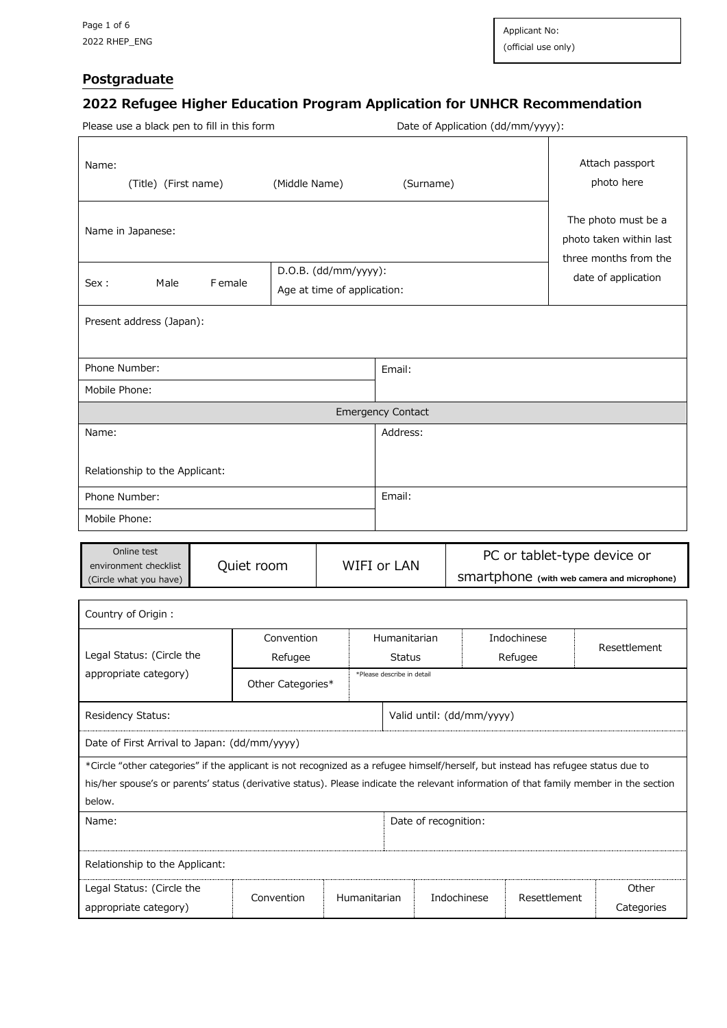$\overline{\mathsf{r}}$ 

٦

## **Postgraduate**

# **2022 Refugee Higher Education Program Application for UNHCR Recommendation**

Please use a black pen to fill in this form Date of Application (dd/mm/yyyy):

| Name:<br>(Title) (First name)                                                                                                                                                                                                                                                         | (Middle Name)          | (Surname)                   |                           |             | Attach passport<br>photo here                                              |
|---------------------------------------------------------------------------------------------------------------------------------------------------------------------------------------------------------------------------------------------------------------------------------------|------------------------|-----------------------------|---------------------------|-------------|----------------------------------------------------------------------------|
| Name in Japanese:                                                                                                                                                                                                                                                                     |                        |                             |                           |             | The photo must be a<br>photo taken within last<br>three months from the    |
|                                                                                                                                                                                                                                                                                       | $D.O.B.$ (dd/mm/yyyy): |                             |                           |             | date of application                                                        |
| Male<br>F emale<br>Sex :                                                                                                                                                                                                                                                              |                        | Age at time of application: |                           |             |                                                                            |
| Present address (Japan):                                                                                                                                                                                                                                                              |                        |                             |                           |             |                                                                            |
| Phone Number:                                                                                                                                                                                                                                                                         |                        | Email:                      |                           |             |                                                                            |
| Mobile Phone:                                                                                                                                                                                                                                                                         |                        |                             |                           |             |                                                                            |
|                                                                                                                                                                                                                                                                                       |                        | <b>Emergency Contact</b>    |                           |             |                                                                            |
| Name:                                                                                                                                                                                                                                                                                 |                        | Address:                    |                           |             |                                                                            |
| Relationship to the Applicant:                                                                                                                                                                                                                                                        |                        |                             |                           |             |                                                                            |
| Phone Number:                                                                                                                                                                                                                                                                         |                        | Email:                      |                           |             |                                                                            |
| Mobile Phone:                                                                                                                                                                                                                                                                         |                        |                             |                           |             |                                                                            |
|                                                                                                                                                                                                                                                                                       |                        |                             |                           |             |                                                                            |
| Online test<br>environment checklist<br>(Circle what you have)                                                                                                                                                                                                                        | Quiet room             | WIFI or LAN                 |                           |             | PC or tablet-type device or<br>SMartphone (with web camera and microphone) |
| Country of Origin :                                                                                                                                                                                                                                                                   |                        |                             |                           |             |                                                                            |
|                                                                                                                                                                                                                                                                                       | Convention             | Humanitarian                |                           | Indochinese |                                                                            |
| Legal Status: (Circle the                                                                                                                                                                                                                                                             | Refugee                | Status                      |                           | Refugee     | Resettlement                                                               |
| appropriate category)                                                                                                                                                                                                                                                                 | Other Categories*      | *Please describe in detail  |                           |             |                                                                            |
| Residency Status:                                                                                                                                                                                                                                                                     |                        |                             | Valid until: (dd/mm/yyyy) |             |                                                                            |
| Date of First Arrival to Japan: (dd/mm/yyyy)                                                                                                                                                                                                                                          |                        |                             |                           |             |                                                                            |
| *Circle "other categories" if the applicant is not recognized as a refugee himself/herself, but instead has refugee status due to<br>his/her spouse's or parents' status (derivative status). Please indicate the relevant information of that family member in the section<br>below. |                        |                             |                           |             |                                                                            |
| Name:                                                                                                                                                                                                                                                                                 |                        |                             | Date of recognition:      |             |                                                                            |
| Relationship to the Applicant:                                                                                                                                                                                                                                                        |                        |                             |                           |             |                                                                            |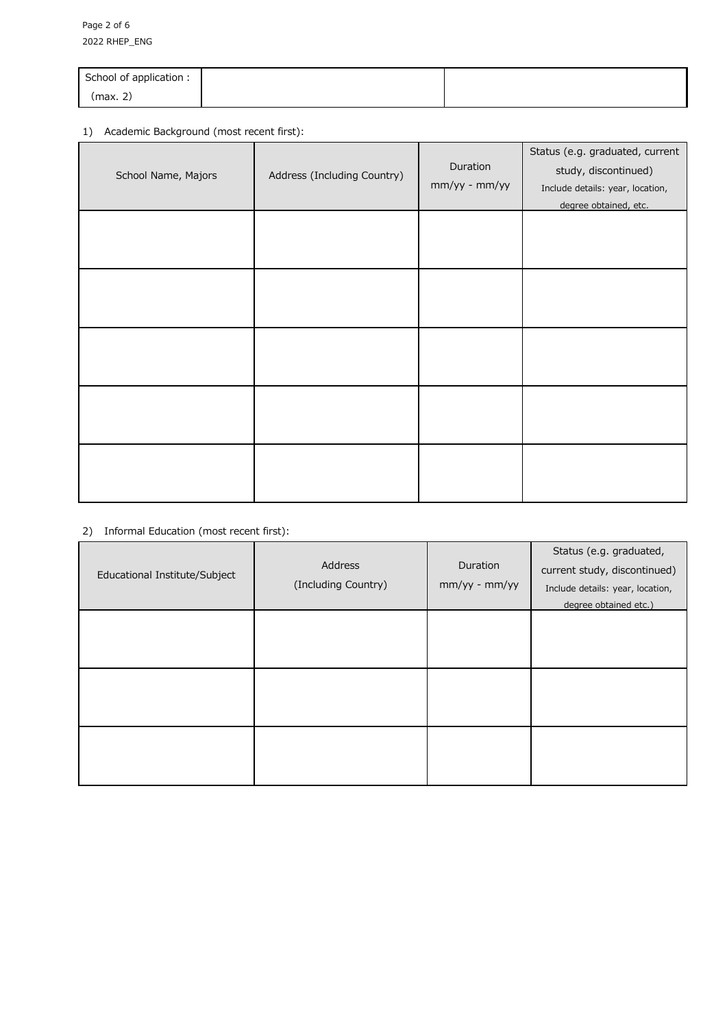| School of application : |  |
|-------------------------|--|
| (max. 2)                |  |

### 1) Academic Background (most recent first):

| School Name, Majors | Address (Including Country) | Duration<br>mm/yy - mm/yy | Status (e.g. graduated, current<br>study, discontinued)<br>Include details: year, location,<br>degree obtained, etc. |
|---------------------|-----------------------------|---------------------------|----------------------------------------------------------------------------------------------------------------------|
|                     |                             |                           |                                                                                                                      |
|                     |                             |                           |                                                                                                                      |
|                     |                             |                           |                                                                                                                      |
|                     |                             |                           |                                                                                                                      |
|                     |                             |                           |                                                                                                                      |

#### 2) Informal Education (most recent first):

| Educational Institute/Subject | Address<br>(Including Country) | Duration<br>$mm/yy$ - $mm/yy$ | Status (e.g. graduated,<br>current study, discontinued)<br>Include details: year, location,<br>degree obtained etc.) |
|-------------------------------|--------------------------------|-------------------------------|----------------------------------------------------------------------------------------------------------------------|
|                               |                                |                               |                                                                                                                      |
|                               |                                |                               |                                                                                                                      |
|                               |                                |                               |                                                                                                                      |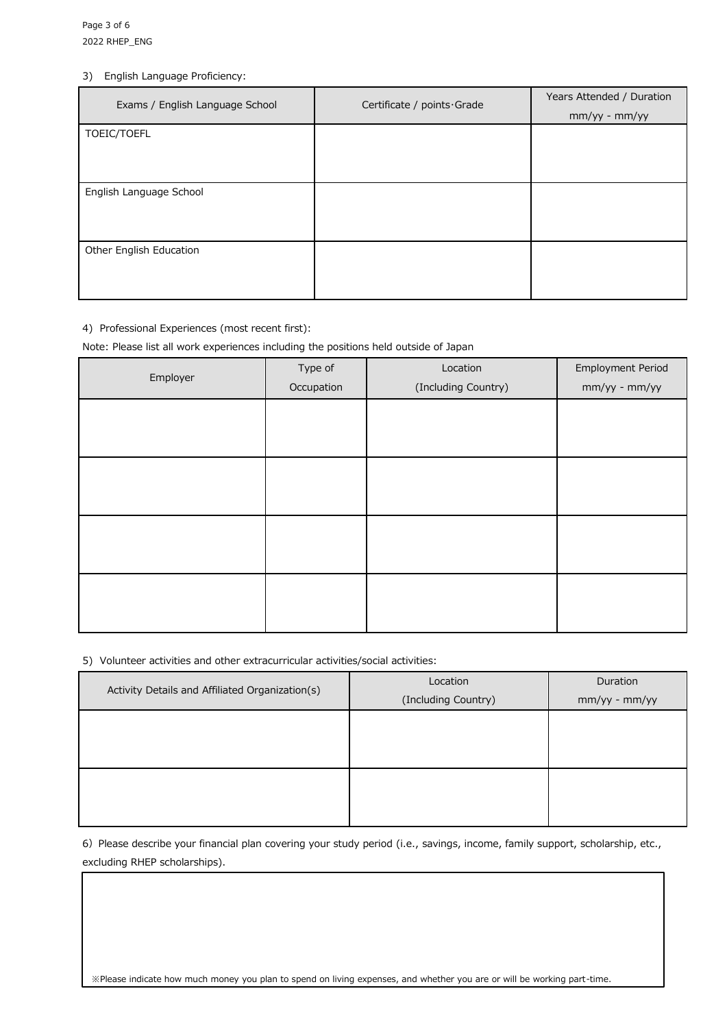#### 3) English Language Proficiency:

| Exams / English Language School<br>Certificate / points Grade |  | Years Attended / Duration |
|---------------------------------------------------------------|--|---------------------------|
|                                                               |  | $mm/yy - mm/yy$           |
| TOEIC/TOEFL                                                   |  |                           |
|                                                               |  |                           |
|                                                               |  |                           |
| English Language School                                       |  |                           |
|                                                               |  |                           |
|                                                               |  |                           |
| Other English Education                                       |  |                           |
|                                                               |  |                           |
|                                                               |  |                           |

#### 4) Professional Experiences (most recent first):

Note: Please list all work experiences including the positions held outside of Japan

| Employer | Type of<br>Occupation | Location<br>(Including Country) | <b>Employment Period</b><br>mm/yy - mm/yy |
|----------|-----------------------|---------------------------------|-------------------------------------------|
|          |                       |                                 |                                           |
|          |                       |                                 |                                           |
|          |                       |                                 |                                           |
|          |                       |                                 |                                           |
|          |                       |                                 |                                           |

#### 5) Volunteer activities and other extracurricular activities/social activities:

| Activity Details and Affiliated Organization(s) | Location            | Duration      |
|-------------------------------------------------|---------------------|---------------|
|                                                 | (Including Country) | mm/yy - mm/yy |
|                                                 |                     |               |
|                                                 |                     |               |
|                                                 |                     |               |
|                                                 |                     |               |
|                                                 |                     |               |
|                                                 |                     |               |

6) Please describe your financial plan covering your study period (i.e., savings, income, family support, scholarship, etc., excluding RHEP scholarships).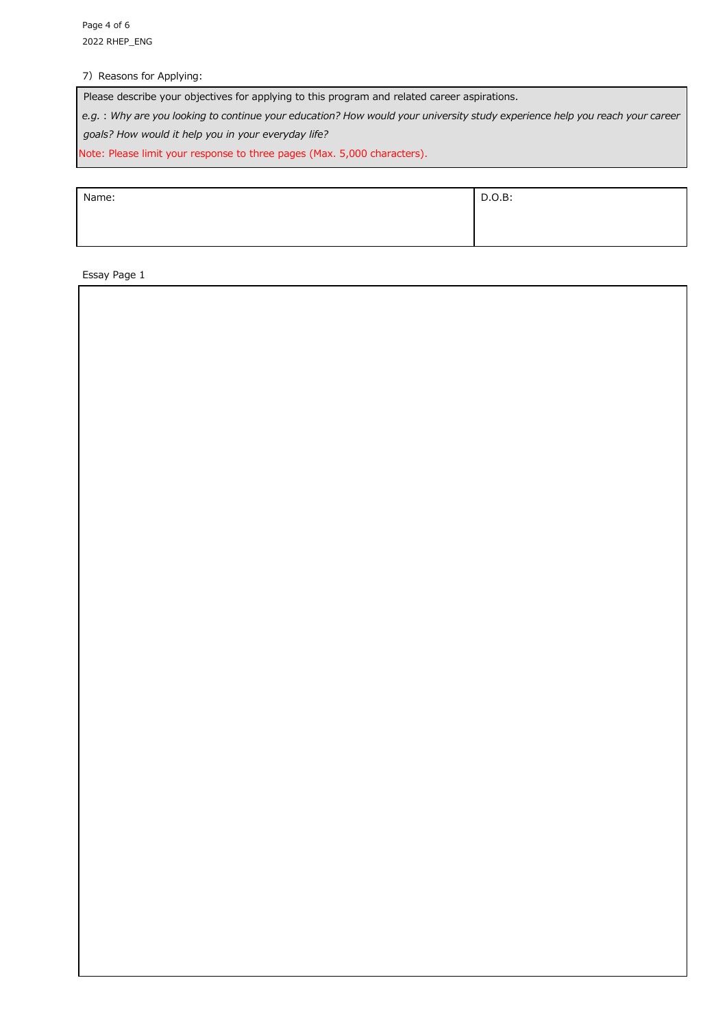7) Reasons for Applying:

Please describe your objectives for applying to this program and related career aspirations.

*e.g.:Why are you looking to continue your education? How would your university study experience help you reach your career* 

*goals? How would it help you in your everyday life?*

Note: Please limit your response to three pages (Max. 5,000 characters).

| Name: | D.O.B: |
|-------|--------|
|       |        |
|       |        |

Essay Page 1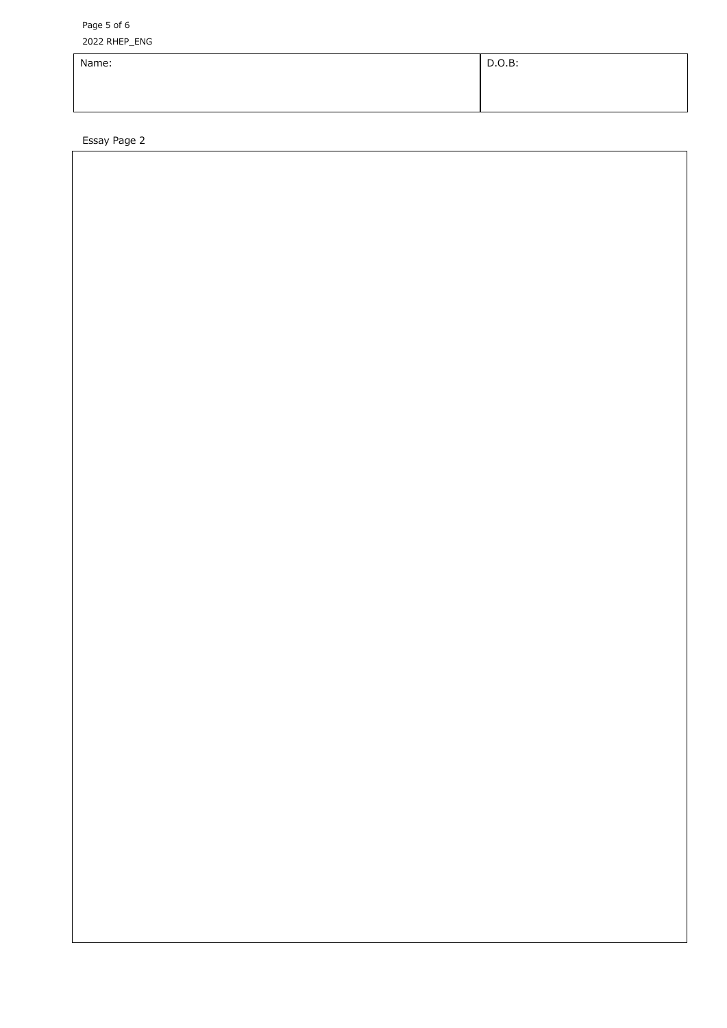Page 5 of 6 202 2 RHEP\_ENG

| $\overline{\phantom{0}}$ |        |
|--------------------------|--------|
| Name:                    | D.O.B: |
|                          |        |
|                          |        |

Essay Page 2